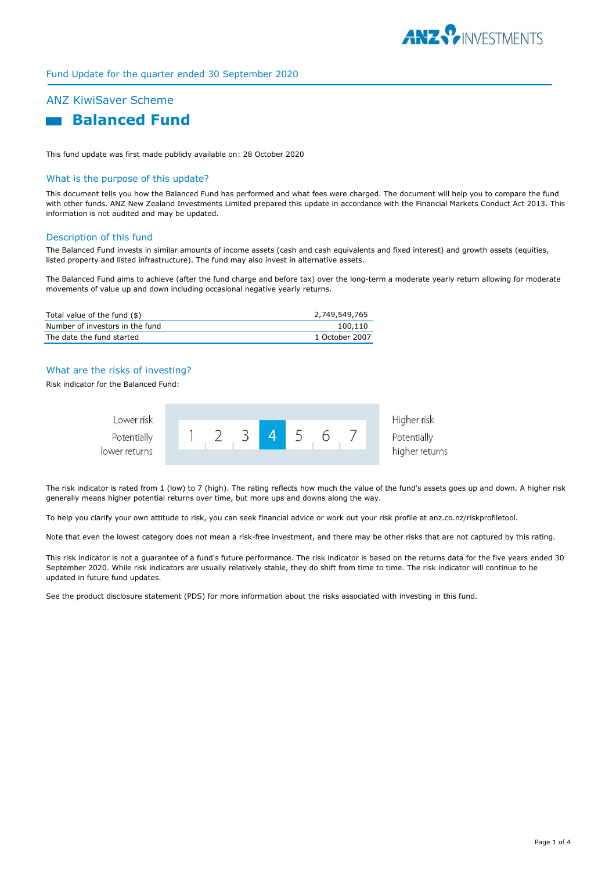

# Fund Update for the quarter ended 30 September 2020

# ANZ KiwiSaver Scheme

# **Balanced Fund**

This fund update was first made publicly available on: 28 October 2020

#### What is the purpose of this update?

This document tells you how the Balanced Fund has performed and what fees were charged. The document will help you to compare the fund with other funds. ANZ New Zealand Investments Limited prepared this update in accordance with the Financial Markets Conduct Act 2013. This information is not audited and may be updated.

#### Description of this fund

The Balanced Fund invests in similar amounts of income assets (cash and cash equivalents and fixed interest) and growth assets (equities, listed property and listed infrastructure). The fund may also invest in alternative assets.

The Balanced Fund aims to achieve (after the fund charge and before tax) over the long-term a moderate yearly return allowing for moderate movements of value up and down including occasional negative yearly returns.

| Total value of the fund (\$)    | 2,749,549,765  |
|---------------------------------|----------------|
| Number of investors in the fund | 100.110        |
| The date the fund started       | 1 October 2007 |

# What are the risks of investing?

Risk indicator for the Balanced Fund:



The risk indicator is rated from 1 (low) to 7 (high). The rating reflects how much the value of the fund's assets goes up and down. A higher risk generally means higher potential returns over time, but more ups and downs along the way.

To help you clarify your own attitude to risk, you can seek financial advice or work out your risk profile at anz.co.nz/riskprofiletool.

Note that even the lowest category does not mean a risk-free investment, and there may be other risks that are not captured by this rating.

This risk indicator is not a guarantee of a fund's future performance. The risk indicator is based on the returns data for the five years ended 30 September 2020. While risk indicators are usually relatively stable, they do shift from time to time. The risk indicator will continue to be updated in future fund updates.

See the product disclosure statement (PDS) for more information about the risks associated with investing in this fund.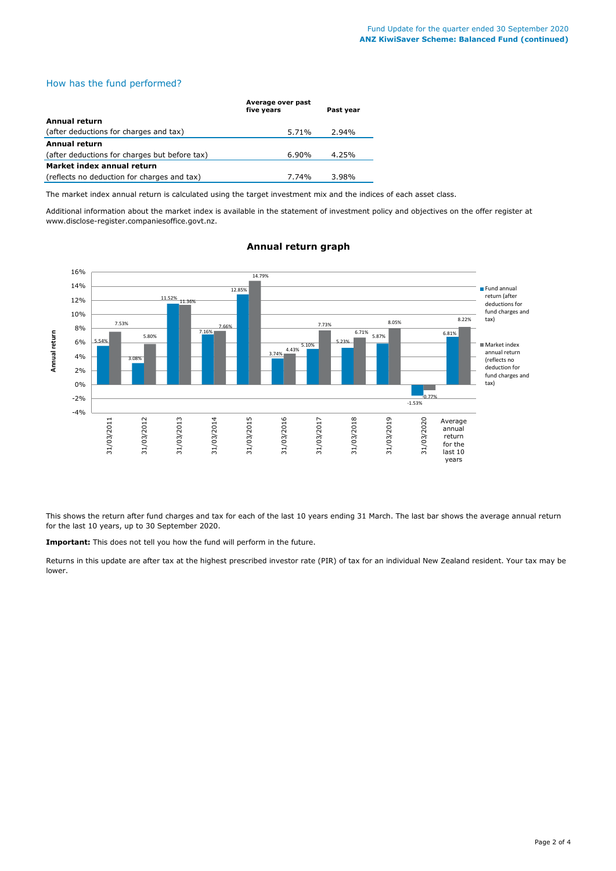# How has the fund performed?

|                                               | Average over past<br>five years | Past year |
|-----------------------------------------------|---------------------------------|-----------|
| Annual return                                 |                                 |           |
| (after deductions for charges and tax)        | 5.71%                           | 2.94%     |
| <b>Annual return</b>                          |                                 |           |
| (after deductions for charges but before tax) | $6.90\%$                        | 4.25%     |
| Market index annual return                    |                                 |           |
| (reflects no deduction for charges and tax)   | 7.74%                           | 3.98%     |

The market index annual return is calculated using the target investment mix and the indices of each asset class.

Additional information about the market index is available in the statement of investment policy and objectives on the offer register at www.disclose-register.companiesoffice.govt.nz.



### **Annual return graph**

This shows the return after fund charges and tax for each of the last 10 years ending 31 March. The last bar shows the average annual return for the last 10 years, up to 30 September 2020.

**Important:** This does not tell you how the fund will perform in the future.

Returns in this update are after tax at the highest prescribed investor rate (PIR) of tax for an individual New Zealand resident. Your tax may be lower.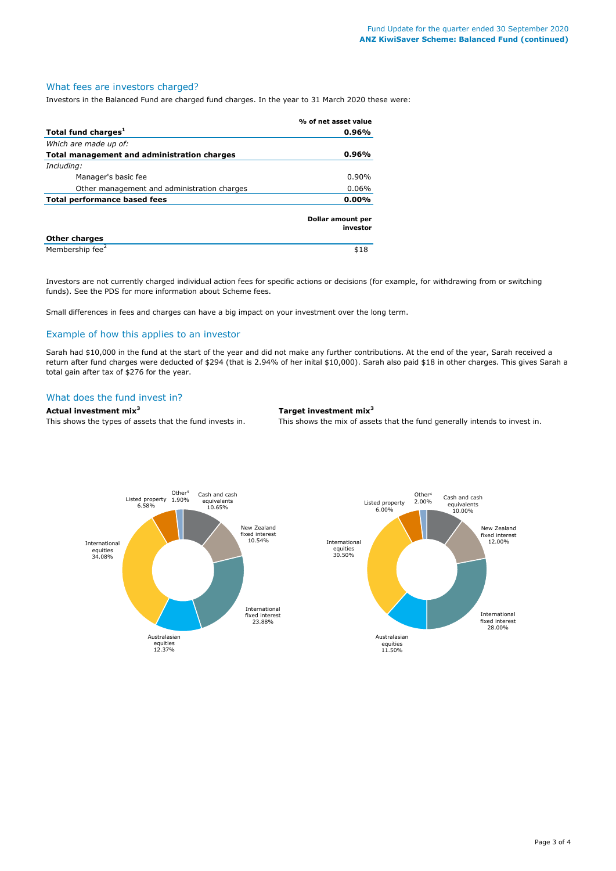# What fees are investors charged?

Investors in the Balanced Fund are charged fund charges. In the year to 31 March 2020 these were:

|                                             | % of net asset value          |
|---------------------------------------------|-------------------------------|
| Total fund charges <sup>1</sup>             | 0.96%                         |
| Which are made up of:                       |                               |
| Total management and administration charges | 0.96%                         |
| Including:                                  |                               |
| Manager's basic fee                         | $0.90\%$                      |
| Other management and administration charges | $0.06\%$                      |
| <b>Total performance based fees</b>         | $0.00\%$                      |
|                                             | Dollar amount per<br>investor |
| <b>Other charges</b>                        |                               |
| Membership fee <sup>2</sup>                 | \$18                          |

Investors are not currently charged individual action fees for specific actions or decisions (for example, for withdrawing from or switching funds). See the PDS for more information about Scheme fees.

Small differences in fees and charges can have a big impact on your investment over the long term.

# Example of how this applies to an investor

Sarah had \$10,000 in the fund at the start of the year and did not make any further contributions. At the end of the year, Sarah received a return after fund charges were deducted of \$294 (that is 2.94% of her inital \$10,000). Sarah also paid \$18 in other charges. This gives Sarah a total gain after tax of \$276 for the year.

#### What does the fund invest in?

# **Actual investment mix<sup>3</sup> Target investment mix<sup>3</sup>**

This shows the types of assets that the fund invests in. This shows the mix of assets that the fund generally intends to invest in.